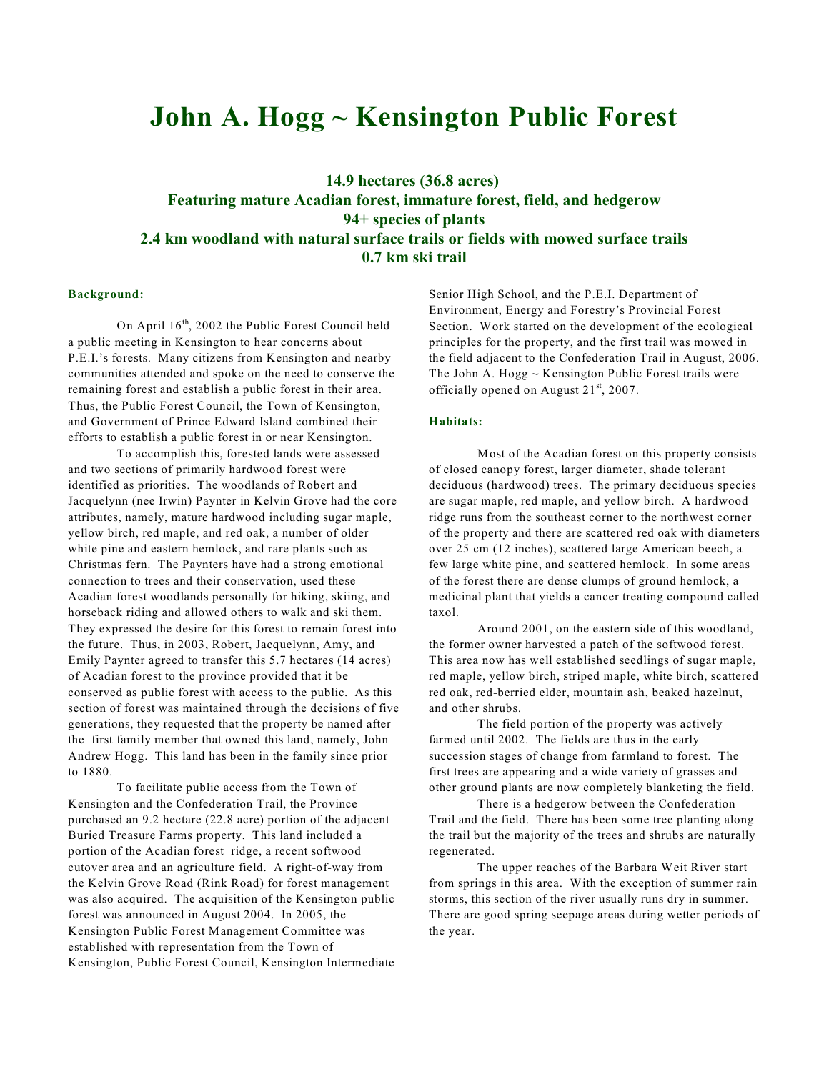# **John A. Hogg ~ Kensington Public Forest**

# **14.9 hectares (36.8 acres) Featuring mature Acadian forest, immature forest, field, and hedgerow 94+ species of plants 2.4 km woodland with natural surface trails or fields with mowed surface trails 0.7 km ski trail**

## **Background:**

On April  $16<sup>th</sup>$ , 2002 the Public Forest Council held a public meeting in Kensington to hear concerns about P.E.I.'s forests. Many citizens from Kensington and nearby communities attended and spoke on the need to conserve the remaining forest and establish a public forest in their area. Thus, the Public Forest Council, the Town of Kensington, and Government of Prince Edward Island combined their efforts to establish a public forest in or near Kensington.

To accomplish this, forested lands were assessed and two sections of primarily hardwood forest were identified as priorities. The woodlands of Robert and Jacquelynn (nee Irwin) Paynter in Kelvin Grove had the core attributes, namely, mature hardwood including sugar maple, yellow birch, red maple, and red oak, a number of older white pine and eastern hemlock, and rare plants such as Christmas fern. The Paynters have had a strong emotional connection to trees and their conservation, used these Acadian forest woodlands personally for hiking, skiing, and horseback riding and allowed others to walk and ski them. They expressed the desire for this forest to remain forest into the future. Thus, in 2003, Robert, Jacquelynn, Amy, and Emily Paynter agreed to transfer this 5.7 hectares (14 acres) of Acadian forest to the province provided that it be conserved as public forest with access to the public. As this section of forest was maintained through the decisions of five generations, they requested that the property be named after the first family member that owned this land, namely, John Andrew Hogg. This land has been in the family since prior to 1880.

To facilitate public access from the Town of Kensington and the Confederation Trail, the Province purchased an 9.2 hectare (22.8 acre) portion of the adjacent Buried Treasure Farms property. This land included a portion of the Acadian forest ridge, a recent softwood cutover area and an agriculture field. A right-of-way from the Kelvin Grove Road (Rink Road) for forest management was also acquired. The acquisition of the Kensington public forest was announced in August 2004. In 2005, the Kensington Public Forest Management Committee was established with representation from the Town of Kensington, Public Forest Council, Kensington Intermediate Senior High School, and the P.E.I. Department of Environment, Energy and Forestry's Provincial Forest Section. Work started on the development of the ecological principles for the property, and the first trail was mowed in the field adjacent to the Confederation Trail in August, 2006. The John A.  $Hogg \sim$  Kensington Public Forest trails were officially opened on August  $21<sup>st</sup>$ , 2007.

#### **Habitats:**

Most of the Acadian forest on this property consists of closed canopy forest, larger diameter, shade tolerant deciduous (hardwood) trees. The primary deciduous species are sugar maple, red maple, and yellow birch. A hardwood ridge runs from the southeast corner to the northwest corner of the property and there are scattered red oak with diameters over 25 cm (12 inches), scattered large American beech, a few large white pine, and scattered hemlock. In some areas of the forest there are dense clumps of ground hemlock, a medicinal plant that yields a cancer treating compound called taxol.

Around 2001, on the eastern side of this woodland, the former owner harvested a patch of the softwood forest. This area now has well established seedlings of sugar maple, red maple, yellow birch, striped maple, white birch, scattered red oak, red-berried elder, mountain ash, beaked hazelnut, and other shrubs.

The field portion of the property was actively farmed until 2002. The fields are thus in the early succession stages of change from farmland to forest. The first trees are appearing and a wide variety of grasses and other ground plants are now completely blanketing the field.

There is a hedgerow between the Confederation Trail and the field. There has been some tree planting along the trail but the majority of the trees and shrubs are naturally regenerated.

The upper reaches of the Barbara Weit River start from springs in this area. With the exception of summer rain storms, this section of the river usually runs dry in summer. There are good spring seepage areas during wetter periods of the year.